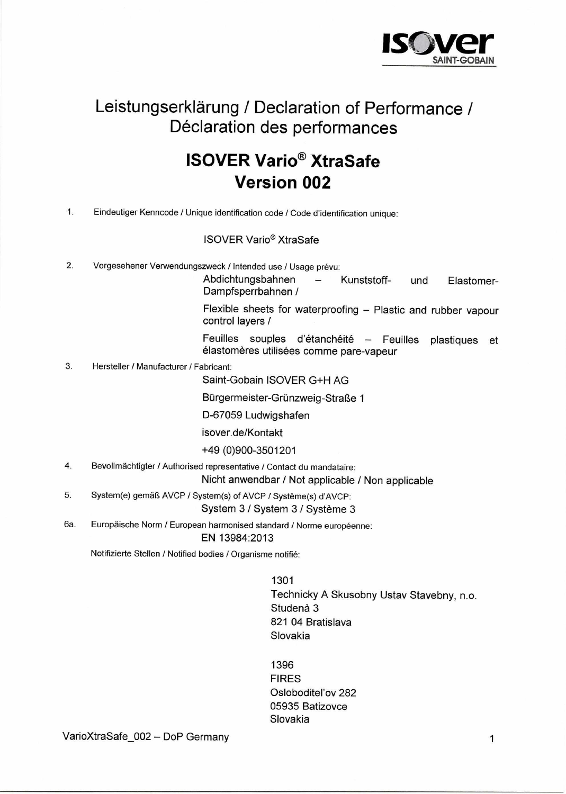

## Leistungserklärung / Declaration of Performance / Déclaration des performances

## **ISOVER Vario<sup>®</sup> XtraSafe Version 002**

Eindeutiger Kenncode / Unique identification code / Code d'identification unique:  $1.$ 

## **ISOVER Vario<sup>®</sup> XtraSafe**

 $2.$ Vorgesehener Verwendungszweck / Intended use / Usage prévu:

> Abdichtungsbahnen Kunststoff- $\frac{1}{2}$ Elastomerund Dampfsperrbahnen /

> Flexible sheets for waterproofing - Plastic and rubber vapour control layers /

> Feuilles souples d'étanchéité - Feuilles plastiques et élastomères utilisées comme pare-vapeur

 $3.$ Hersteller / Manufacturer / Fabricant:

Saint-Gobain ISOVER G+H AG

Bürgermeister-Grünzweig-Straße 1

D-67059 Ludwigshafen

isover.de/Kontakt

+49 (0)900-3501201

4. Bevollmächtigter / Authorised representative / Contact du mandataire:

Nicht anwendbar / Not applicable / Non applicable

- 5. System(e) gemäß AVCP / System(s) of AVCP / Système(s) d'AVCP: System 3 / System 3 / Système 3
- 6а. Europäische Norm / European harmonised standard / Norme européenne: EN 13984:2013

Notifizierte Stellen / Notified bodies / Organisme notifié:

1301 Technicky A Skusobny Ustav Stavebny, n.o. Studenà 3 821 04 Bratislava Slovakia

1396 **FIRES** Osloboditeľov 282 05935 Batizovce Slovakia

VarioXtraSafe\_002 - DoP Germany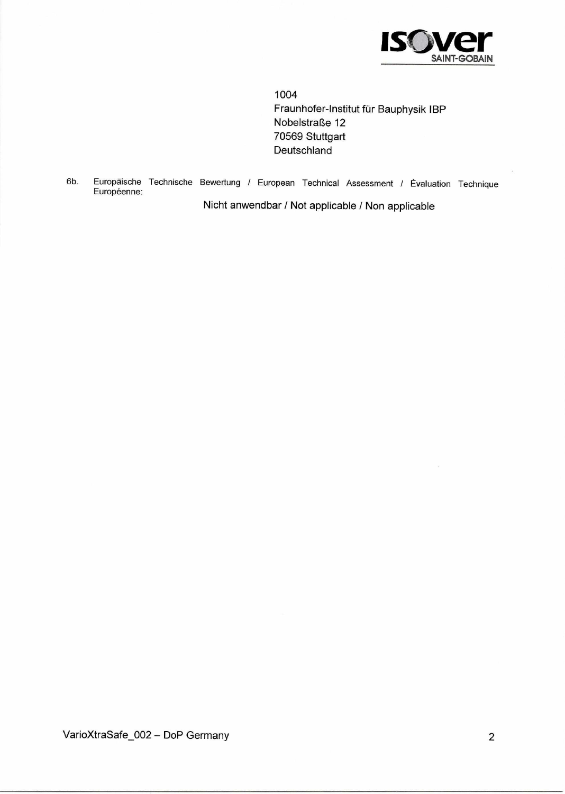

1004 Fraunhofer-Institut für Bauphysik IBP Nobelstraße 12 70569 Stuttgart Deutschland

Europäische Technische Bewertung / European Technical Assessment / Évaluation Technique 6b. Européenne:

Nicht anwendbar / Not applicable / Non applicable